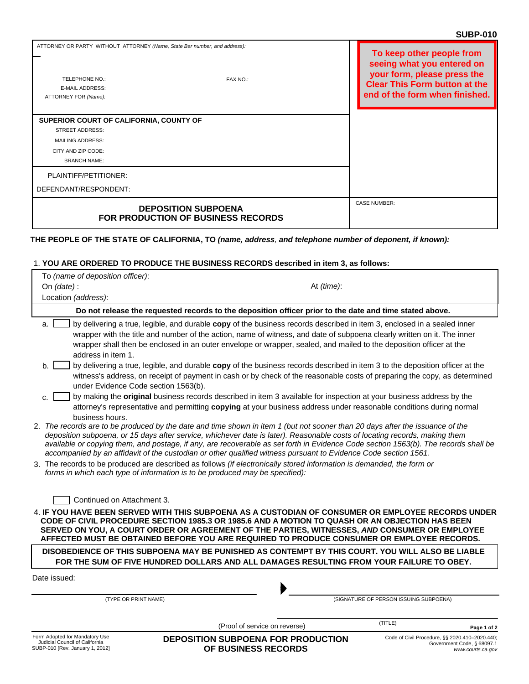|                                                                                                                                                                  | טוט- וטטט                                                                                                                                                        |
|------------------------------------------------------------------------------------------------------------------------------------------------------------------|------------------------------------------------------------------------------------------------------------------------------------------------------------------|
| ATTORNEY OR PARTY WITHOUT ATTORNEY (Name, State Bar number, and address):<br><b>TELEPHONE NO.:</b><br>FAX NO.:<br><b>E-MAIL ADDRESS:</b><br>ATTORNEY FOR (Name): | To keep other people from<br>seeing what you entered on<br>your form, please press the<br><b>Clear This Form button at the</b><br>end of the form when finished. |
| SUPERIOR COURT OF CALIFORNIA, COUNTY OF<br><b>STREET ADDRESS:</b>                                                                                                |                                                                                                                                                                  |
| <b>MAILING ADDRESS:</b>                                                                                                                                          |                                                                                                                                                                  |
| CITY AND ZIP CODE:                                                                                                                                               |                                                                                                                                                                  |
| <b>BRANCH NAME:</b>                                                                                                                                              |                                                                                                                                                                  |
| PLAINTIFF/PETITIONER:                                                                                                                                            |                                                                                                                                                                  |
| DEFENDANT/RESPONDENT:                                                                                                                                            |                                                                                                                                                                  |
| <b>DEPOSITION SUBPOENA</b><br><b>FOR PRODUCTION OF BUSINESS RECORDS</b>                                                                                          | <b>CASE NUMBER:</b>                                                                                                                                              |

## **THE PEOPLE OF THE STATE OF CALIFORNIA, TO** *(name, address, and telephone number of deponent, if known):*

## 1. **YOU ARE ORDERED TO PRODUCE THE BUSINESS RECORDS described in item 3, as follows:**

|                                                                                                      | . TOO ANE UNDENED TO FNUDUCE THE BUSINESS NECUNDS (ISCHIDED III IIEIII 3, AS IUIIUWS.                                                                                                                                                                                                                                                                                                                                                                                                                                                                                                                                                                                                                                                                                                                                                                                                                                                                                                                                                                                                                                                                                                                                                                                                                                                                                                                          |                                                                                                   |  |  |  |
|------------------------------------------------------------------------------------------------------|----------------------------------------------------------------------------------------------------------------------------------------------------------------------------------------------------------------------------------------------------------------------------------------------------------------------------------------------------------------------------------------------------------------------------------------------------------------------------------------------------------------------------------------------------------------------------------------------------------------------------------------------------------------------------------------------------------------------------------------------------------------------------------------------------------------------------------------------------------------------------------------------------------------------------------------------------------------------------------------------------------------------------------------------------------------------------------------------------------------------------------------------------------------------------------------------------------------------------------------------------------------------------------------------------------------------------------------------------------------------------------------------------------------|---------------------------------------------------------------------------------------------------|--|--|--|
| To (name of deposition officer):                                                                     |                                                                                                                                                                                                                                                                                                                                                                                                                                                                                                                                                                                                                                                                                                                                                                                                                                                                                                                                                                                                                                                                                                                                                                                                                                                                                                                                                                                                                |                                                                                                   |  |  |  |
| On $(data)$ :                                                                                        | At (time):                                                                                                                                                                                                                                                                                                                                                                                                                                                                                                                                                                                                                                                                                                                                                                                                                                                                                                                                                                                                                                                                                                                                                                                                                                                                                                                                                                                                     |                                                                                                   |  |  |  |
| Location (address):                                                                                  |                                                                                                                                                                                                                                                                                                                                                                                                                                                                                                                                                                                                                                                                                                                                                                                                                                                                                                                                                                                                                                                                                                                                                                                                                                                                                                                                                                                                                |                                                                                                   |  |  |  |
|                                                                                                      | Do not release the requested records to the deposition officer prior to the date and time stated above.                                                                                                                                                                                                                                                                                                                                                                                                                                                                                                                                                                                                                                                                                                                                                                                                                                                                                                                                                                                                                                                                                                                                                                                                                                                                                                        |                                                                                                   |  |  |  |
| a.<br>address in item 1.<br>$h_{-}$<br>under Evidence Code section 1563(b).<br>C.<br>business hours. | by delivering a true, legible, and durable copy of the business records described in item 3, enclosed in a sealed inner<br>wrapper with the title and number of the action, name of witness, and date of subpoena clearly written on it. The inner<br>wrapper shall then be enclosed in an outer envelope or wrapper, sealed, and mailed to the deposition officer at the<br>by delivering a true, legible, and durable copy of the business records described in item 3 to the deposition officer at the<br>witness's address, on receipt of payment in cash or by check of the reasonable costs of preparing the copy, as determined<br>by making the original business records described in item 3 available for inspection at your business address by the<br>attorney's representative and permitting copying at your business address under reasonable conditions during normal<br>2. The records are to be produced by the date and time shown in item 1 (but not sooner than 20 days after the issuance of the<br>deposition subpoena, or 15 days after service, whichever date is later). Reasonable costs of locating records, making them<br>available or copying them, and postage, if any, are recoverable as set forth in Evidence Code section 1563(b). The records shall be<br>accompanied by an affidavit of the custodian or other qualified witness pursuant to Evidence Code section 1561. |                                                                                                   |  |  |  |
|                                                                                                      | 3. The records to be produced are described as follows (if electronically stored information is demanded, the form or<br>forms in which each type of information is to be produced may be specified):                                                                                                                                                                                                                                                                                                                                                                                                                                                                                                                                                                                                                                                                                                                                                                                                                                                                                                                                                                                                                                                                                                                                                                                                          |                                                                                                   |  |  |  |
| Continued on Attachment 3.                                                                           | 4. IF YOU HAVE BEEN SERVED WITH THIS SUBPOENA AS A CUSTODIAN OF CONSUMER OR EMPLOYEE RECORDS UNDER<br>CODE OF CIVIL PROCEDURE SECTION 1985.3 OR 1985.6 AND A MOTION TO QUASH OR AN OBJECTION HAS BEEN<br>SERVED ON YOU, A COURT ORDER OR AGREEMENT OF THE PARTIES, WITNESSES, AND CONSUMER OR EMPLOYEE<br>AFFECTED MUST BE OBTAINED BEFORE YOU ARE REQUIRED TO PRODUCE CONSUMER OR EMPLOYEE RECORDS.<br>DISOBEDIENCE OF THIS SUBPOENA MAY BE PUNISHED AS CONTEMPT BY THIS COURT. YOU WILL ALSO BE LIABLE                                                                                                                                                                                                                                                                                                                                                                                                                                                                                                                                                                                                                                                                                                                                                                                                                                                                                                       |                                                                                                   |  |  |  |
|                                                                                                      | FOR THE SUM OF FIVE HUNDRED DOLLARS AND ALL DAMAGES RESULTING FROM YOUR FAILURE TO OBEY.                                                                                                                                                                                                                                                                                                                                                                                                                                                                                                                                                                                                                                                                                                                                                                                                                                                                                                                                                                                                                                                                                                                                                                                                                                                                                                                       |                                                                                                   |  |  |  |
| Date issued:                                                                                         |                                                                                                                                                                                                                                                                                                                                                                                                                                                                                                                                                                                                                                                                                                                                                                                                                                                                                                                                                                                                                                                                                                                                                                                                                                                                                                                                                                                                                |                                                                                                   |  |  |  |
| (TYPE OR PRINT NAME)                                                                                 |                                                                                                                                                                                                                                                                                                                                                                                                                                                                                                                                                                                                                                                                                                                                                                                                                                                                                                                                                                                                                                                                                                                                                                                                                                                                                                                                                                                                                | (SIGNATURE OF PERSON ISSUING SUBPOENA)                                                            |  |  |  |
|                                                                                                      | (Proof of service on reverse)                                                                                                                                                                                                                                                                                                                                                                                                                                                                                                                                                                                                                                                                                                                                                                                                                                                                                                                                                                                                                                                                                                                                                                                                                                                                                                                                                                                  | (TITLE)<br>Page 1 of 2                                                                            |  |  |  |
| Form Adopted for Mandatory Use<br>Judicial Council of California<br>SUBP-010 [Rev. January 1, 2012]  | <b>DEPOSITION SUBPOENA FOR PRODUCTION</b><br>OF BUSINESS RECORDS                                                                                                                                                                                                                                                                                                                                                                                                                                                                                                                                                                                                                                                                                                                                                                                                                                                                                                                                                                                                                                                                                                                                                                                                                                                                                                                                               | Code of Civil Procedure, §§ 2020.410-2020.440;<br>Government Code, § 68097.1<br>www.courts.ca.gov |  |  |  |